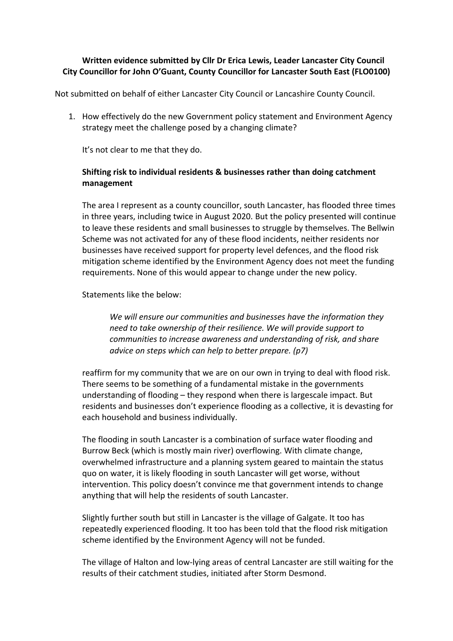## **Written evidence submitted by Cllr Dr Erica Lewis, Leader Lancaster City Council City Councillor for John O'Guant, County Councillor for Lancaster South East (FLO0100)**

Not submitted on behalf of either Lancaster City Council or Lancashire County Council.

1. How effectively do the new Government policy statement and Environment Agency strategy meet the challenge posed by a changing climate?

It's not clear to me that they do.

## **Shifting risk to individual residents & businesses rather than doing catchment management**

The area I represent as a county councillor, south Lancaster, has flooded three times in three years, including twice in August 2020. But the policy presented will continue to leave these residents and small businesses to struggle by themselves. The Bellwin Scheme was not activated for any of these flood incidents, neither residents nor businesses have received support for property level defences, and the flood risk mitigation scheme identified by the Environment Agency does not meet the funding requirements. None of this would appear to change under the new policy.

Statements like the below:

*We will ensure our communities and businesses have the information they need to take ownership of their resilience. We will provide support to communities to increase awareness and understanding of risk, and share advice on steps which can help to better prepare. (p7)*

reaffirm for my community that we are on our own in trying to deal with flood risk. There seems to be something of a fundamental mistake in the governments understanding of flooding – they respond when there is largescale impact. But residents and businesses don't experience flooding as a collective, it is devasting for each household and business individually.

The flooding in south Lancaster is a combination of surface water flooding and Burrow Beck (which is mostly main river) overflowing. With climate change, overwhelmed infrastructure and a planning system geared to maintain the status quo on water, it is likely flooding in south Lancaster will get worse, without intervention. This policy doesn't convince me that government intends to change anything that will help the residents of south Lancaster.

Slightly further south but still in Lancaster is the village of Galgate. It too has repeatedly experienced flooding. It too has been told that the flood risk mitigation scheme identified by the Environment Agency will not be funded.

The village of Halton and low-lying areas of central Lancaster are still waiting for the results of their catchment studies, initiated after Storm Desmond.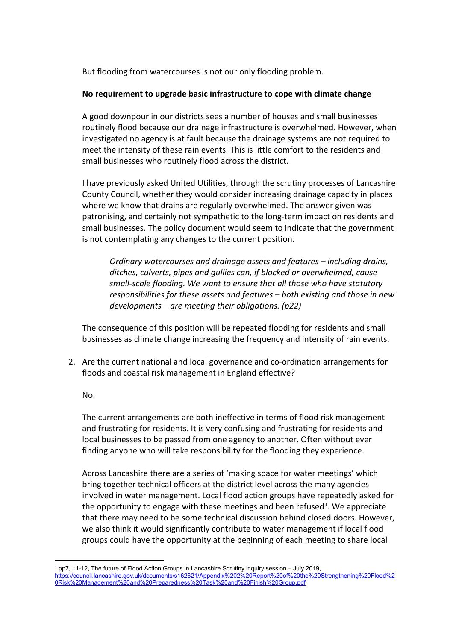But flooding from watercourses is not our only flooding problem.

## **No requirement to upgrade basic infrastructure to cope with climate change**

A good downpour in our districts sees a number of houses and small businesses routinely flood because our drainage infrastructure is overwhelmed. However, when investigated no agency is at fault because the drainage systems are not required to meet the intensity of these rain events. This is little comfort to the residents and small businesses who routinely flood across the district.

I have previously asked United Utilities, through the scrutiny processes of Lancashire County Council, whether they would consider increasing drainage capacity in places where we know that drains are regularly overwhelmed. The answer given was patronising, and certainly not sympathetic to the long-term impact on residents and small businesses. The policy document would seem to indicate that the government is not contemplating any changes to the current position.

*Ordinary watercourses and drainage assets and features – including drains, ditches, culverts, pipes and gullies can, if blocked or overwhelmed, cause small-scale flooding. We want to ensure that all those who have statutory responsibilities for these assets and features – both existing and those in new developments – are meeting their obligations. (p22)*

The consequence of this position will be repeated flooding for residents and small businesses as climate change increasing the frequency and intensity of rain events.

2. Are the current national and local governance and co-ordination arrangements for floods and coastal risk management in England effective?

## No.

The current arrangements are both ineffective in terms of flood risk management and frustrating for residents. It is very confusing and frustrating for residents and local businesses to be passed from one agency to another. Often without ever finding anyone who will take responsibility for the flooding they experience.

Across Lancashire there are a series of 'making space for water meetings' which bring together technical officers at the district level across the many agencies involved in water management. Local flood action groups have repeatedly asked for the opportunity to engage with these meetings and been refused<sup>1</sup>. We appreciate that there may need to be some technical discussion behind closed doors. However, we also think it would significantly contribute to water management if local flood groups could have the opportunity at the beginning of each meeting to share local

<sup>&</sup>lt;sup>1</sup> pp7, 11-12, The future of Flood Action Groups in Lancashire Scrutiny inquiry session – July 2019, [https://council.lancashire.gov.uk/documents/s162621/Appendix%202%20Report%20of%20the%20Strengthening%20Flood%2](https://council.lancashire.gov.uk/documents/s162621/Appendix%202%20Report%20of%20the%20Strengthening%20Flood%20Risk%20Management%20and%20Preparedness%20Task%20and%20Finish%20Group.pdf) [0Risk%20Management%20and%20Preparedness%20Task%20and%20Finish%20Group.pdf](https://council.lancashire.gov.uk/documents/s162621/Appendix%202%20Report%20of%20the%20Strengthening%20Flood%20Risk%20Management%20and%20Preparedness%20Task%20and%20Finish%20Group.pdf)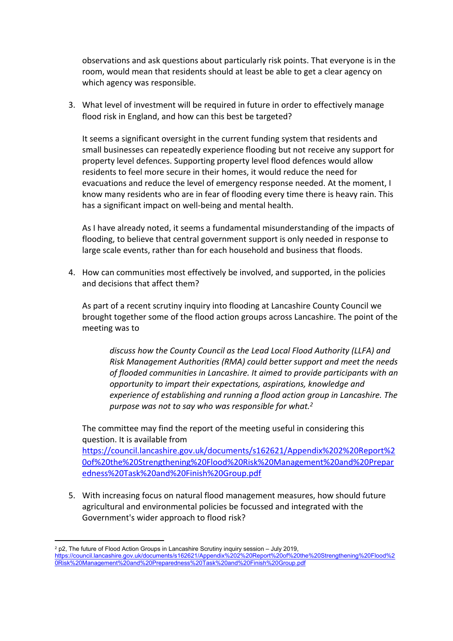observations and ask questions about particularly risk points. That everyone is in the room, would mean that residents should at least be able to get a clear agency on which agency was responsible.

3. What level of investment will be required in future in order to effectively manage flood risk in England, and how can this best be targeted?

It seems a significant oversight in the current funding system that residents and small businesses can repeatedly experience flooding but not receive any support for property level defences. Supporting property level flood defences would allow residents to feel more secure in their homes, it would reduce the need for evacuations and reduce the level of emergency response needed. At the moment, I know many residents who are in fear of flooding every time there is heavy rain. This has a significant impact on well-being and mental health.

As I have already noted, it seems a fundamental misunderstanding of the impacts of flooding, to believe that central government support is only needed in response to large scale events, rather than for each household and business that floods.

4. How can communities most effectively be involved, and supported, in the policies and decisions that affect them?

As part of a recent scrutiny inquiry into flooding at Lancashire County Council we brought together some of the flood action groups across Lancashire. The point of the meeting was to

*discuss how the County Council as the Lead Local Flood Authority (LLFA) and Risk Management Authorities (RMA) could better support and meet the needs of flooded communities in Lancashire. It aimed to provide participants with an opportunity to impart their expectations, aspirations, knowledge and experience of establishing and running a flood action group in Lancashire. The purpose was not to say who was responsible for what.<sup>2</sup>*

The committee may find the report of the meeting useful in considering this question. It is available from

[https://council.lancashire.gov.uk/documents/s162621/Appendix%202%20Report%2](https://council.lancashire.gov.uk/documents/s162621/Appendix%202%20Report%20of%20the%20Strengthening%20Flood%20Risk%20Management%20and%20Preparedness%20Task%20and%20Finish%20Group.pdf) [0of%20the%20Strengthening%20Flood%20Risk%20Management%20and%20Prepar](https://council.lancashire.gov.uk/documents/s162621/Appendix%202%20Report%20of%20the%20Strengthening%20Flood%20Risk%20Management%20and%20Preparedness%20Task%20and%20Finish%20Group.pdf) [edness%20Task%20and%20Finish%20Group.pdf](https://council.lancashire.gov.uk/documents/s162621/Appendix%202%20Report%20of%20the%20Strengthening%20Flood%20Risk%20Management%20and%20Preparedness%20Task%20and%20Finish%20Group.pdf)

5. With increasing focus on natural flood management measures, how should future agricultural and environmental policies be focussed and integrated with the Government's wider approach to flood risk?

<sup>2</sup> p2, The future of Flood Action Groups in Lancashire Scrutiny inquiry session – July 2019,

[https://council.lancashire.gov.uk/documents/s162621/Appendix%202%20Report%20of%20the%20Strengthening%20Flood%2](https://council.lancashire.gov.uk/documents/s162621/Appendix%202%20Report%20of%20the%20Strengthening%20Flood%20Risk%20Management%20and%20Preparedness%20Task%20and%20Finish%20Group.pdf) [0Risk%20Management%20and%20Preparedness%20Task%20and%20Finish%20Group.pdf](https://council.lancashire.gov.uk/documents/s162621/Appendix%202%20Report%20of%20the%20Strengthening%20Flood%20Risk%20Management%20and%20Preparedness%20Task%20and%20Finish%20Group.pdf)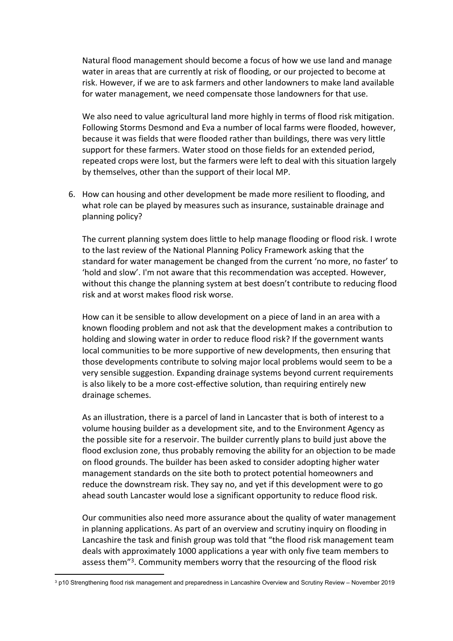Natural flood management should become a focus of how we use land and manage water in areas that are currently at risk of flooding, or our projected to become at risk. However, if we are to ask farmers and other landowners to make land available for water management, we need compensate those landowners for that use.

We also need to value agricultural land more highly in terms of flood risk mitigation. Following Storms Desmond and Eva a number of local farms were flooded, however, because it was fields that were flooded rather than buildings, there was very little support for these farmers. Water stood on those fields for an extended period, repeated crops were lost, but the farmers were left to deal with this situation largely by themselves, other than the support of their local MP.

6. How can housing and other development be made more resilient to flooding, and what role can be played by measures such as insurance, sustainable drainage and planning policy?

The current planning system does little to help manage flooding or flood risk. I wrote to the last review of the National Planning Policy Framework asking that the standard for water management be changed from the current 'no more, no faster' to 'hold and slow'. I'm not aware that this recommendation was accepted. However, without this change the planning system at best doesn't contribute to reducing flood risk and at worst makes flood risk worse.

How can it be sensible to allow development on a piece of land in an area with a known flooding problem and not ask that the development makes a contribution to holding and slowing water in order to reduce flood risk? If the government wants local communities to be more supportive of new developments, then ensuring that those developments contribute to solving major local problems would seem to be a very sensible suggestion. Expanding drainage systems beyond current requirements is also likely to be a more cost-effective solution, than requiring entirely new drainage schemes.

As an illustration, there is a parcel of land in Lancaster that is both of interest to a volume housing builder as a development site, and to the Environment Agency as the possible site for a reservoir. The builder currently plans to build just above the flood exclusion zone, thus probably removing the ability for an objection to be made on flood grounds. The builder has been asked to consider adopting higher water management standards on the site both to protect potential homeowners and reduce the downstream risk. They say no, and yet if this development were to go ahead south Lancaster would lose a significant opportunity to reduce flood risk.

Our communities also need more assurance about the quality of water management in planning applications. As part of an overview and scrutiny inquiry on flooding in Lancashire the task and finish group was told that "the flood risk management team deals with approximately 1000 applications a year with only five team members to assess them"<sup>3</sup>. Community members worry that the resourcing of the flood risk

<sup>3</sup> p10 Strengthening flood risk management and preparedness in Lancashire Overview and Scrutiny Review – November 2019